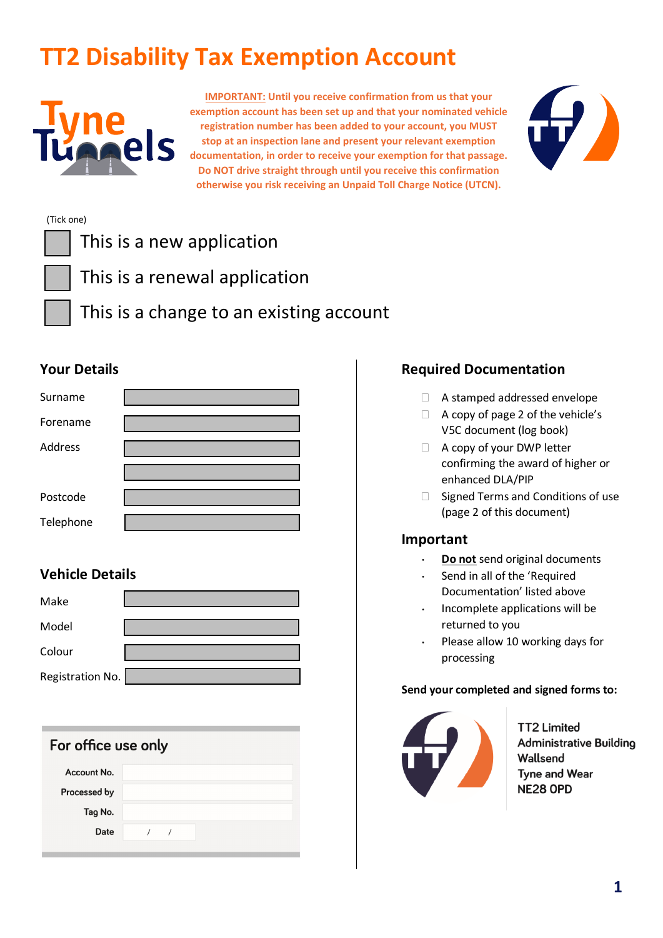# **TT2 Disability Tax Exemption Account**



**IMPORTANT: Until you receive confirmation from us that your exemption account has been set up and that your nominated vehicle registration number has been added to your account, you MUST stop at an inspection lane and present your relevant exemption documentation, in order to receive your exemption for that passage. Do NOT drive straight through until you receive this confirmation otherwise you risk receiving an Unpaid Toll Charge Notice (UTCN).**



#### (Tick one)

| This is a new application               |
|-----------------------------------------|
| This is a renewal application           |
| This is a change to an existing account |

### **Your Details**

| Surname   |  |
|-----------|--|
| Forename  |  |
| Address   |  |
|           |  |
| Postcode  |  |
| Telephone |  |

## **Vehicle Details**

| Make             |  |
|------------------|--|
| Model            |  |
| Colour           |  |
| Registration No. |  |

| For office use only |  |          |  |  |  |  |  |
|---------------------|--|----------|--|--|--|--|--|
| Account No.         |  |          |  |  |  |  |  |
| Processed by        |  |          |  |  |  |  |  |
| Tag No.             |  |          |  |  |  |  |  |
| Date                |  | $\prime$ |  |  |  |  |  |
|                     |  |          |  |  |  |  |  |

### **Required Documentation**

- A stamped addressed envelope
- □ A copy of page 2 of the vehicle's V5C document (log book)
- □ A copy of your DWP letter confirming the award of higher or enhanced DLA/PIP
- $\Box$  Signed Terms and Conditions of use (page 2 of this document)

#### **Important**

- ⋅ **Do not** send original documents
- ⋅ Send in all of the 'Required Documentation' listed above
- ⋅ Incomplete applications will be returned to you
- Please allow 10 working days for processing

#### **Send your completed and signed forms to:**



**TT2 Limited** Administrative Building Wallsend **Tyne and Wear NE28 OPD**